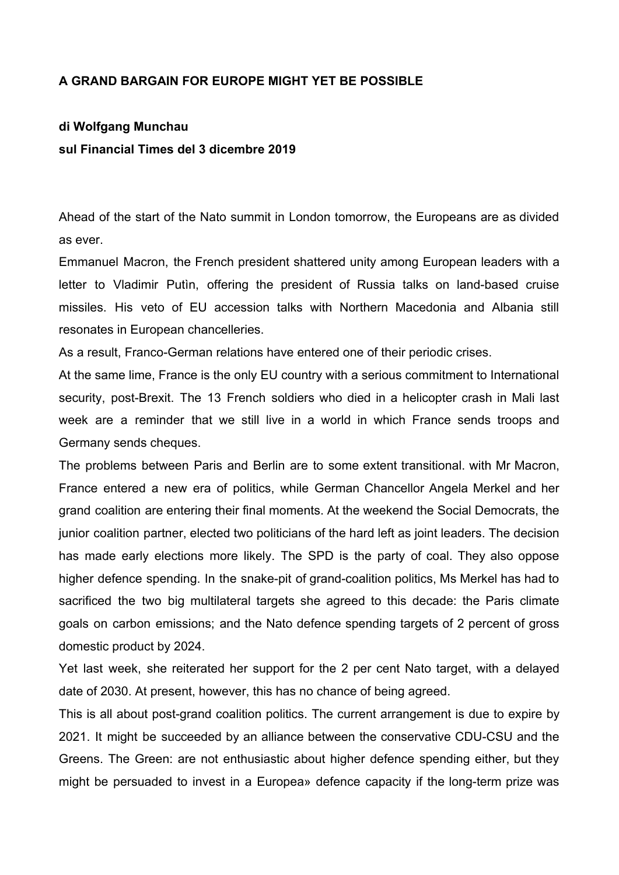## **A GRAND BARGAIN FOR EUROPE MIGHT YET BE POSSIBLE**

## **di Wolfgang Munchau sul Financial Times del 3 dicembre 2019**

Ahead of the start of the Nato summit in London tomorrow, the Europeans are as divided as ever.

Emmanuel Macron, the French president shattered unity among European leaders with a letter to Vladimir Putìn, offering the president of Russia talks on land-based cruise missiles. His veto of EU accession talks with Northern Macedonia and Albania still resonates in European chancelleries.

As a result, Franco-German relations have entered one of their periodic crises.

At the same lime, France is the only EU country with a serious commitment to International security, post-Brexit. The 13 French soldiers who died in a helicopter crash in Mali last week are a reminder that we still live in a world in which France sends troops and Germany sends cheques.

The problems between Paris and Berlin are to some extent transitional. with Mr Macron, France entered a new era of politics, while German Chancellor Angela Merkel and her grand coalition are entering their final moments. At the weekend the Social Democrats, the junior coalition partner, elected two politicians of the hard left as joint leaders. The decision has made early elections more likely. The SPD is the party of coal. They also oppose higher defence spending. In the snake-pit of grand-coalition politics, Ms Merkel has had to sacrificed the two big multilateral targets she agreed to this decade: the Paris climate goals on carbon emissions; and the Nato defence spending targets of 2 percent of gross domestic product by 2024.

Yet last week, she reiterated her support for the 2 per cent Nato target, with a delayed date of 2030. At present, however, this has no chance of being agreed.

This is all about post-grand coalition politics. The current arrangement is due to expire by 2021. It might be succeeded by an alliance between the conservative CDU-CSU and the Greens. The Green: are not enthusiastic about higher defence spending either, but they might be persuaded to invest in a Europea» defence capacity if the long-term prize was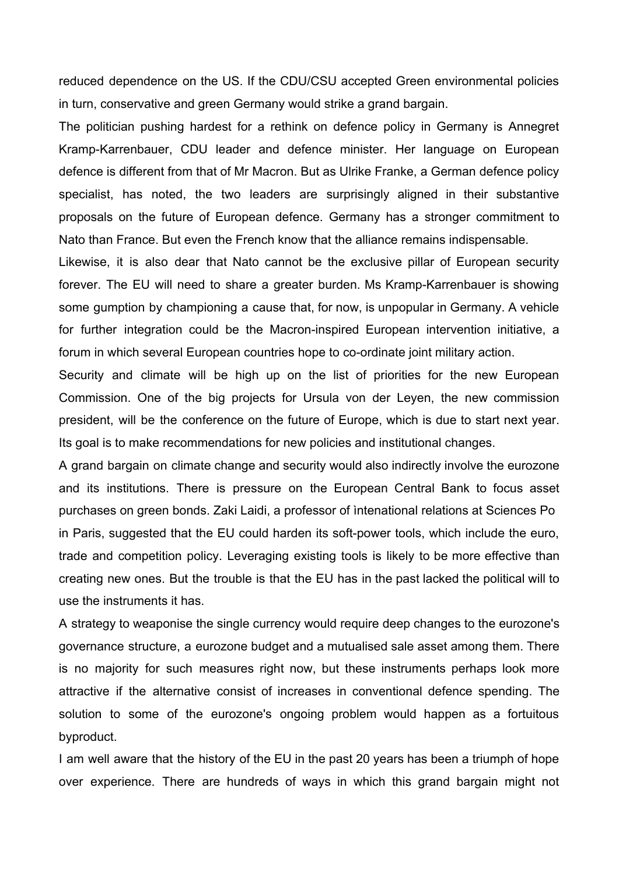reduced dependence on the US. If the CDU/CSU accepted Green environmental policies in turn, conservative and green Germany would strike a grand bargain.

The politician pushing hardest for a rethink on defence policy in Germany is Annegret Kramp-Karrenbauer, CDU leader and defence minister. Her language on European defence is different from that of Mr Macron. But as Ulrike Franke, a German defence policy specialist, has noted, the two leaders are surprisingly aligned in their substantive proposals on the future of European defence. Germany has a stronger commitment to Nato than France. But even the French know that the alliance remains indispensable.

Likewise, it is also dear that Nato cannot be the exclusive pillar of European security forever. The EU will need to share a greater burden. Ms Kramp-Karrenbauer is showing some gumption by championing a cause that, for now, is unpopular in Germany. A vehicle for further integration could be the Macron-inspired European intervention initiative, a forum in which several European countries hope to co-ordinate joint military action.

Security and climate will be high up on the list of priorities for the new European Commission. One of the big projects for Ursula von der Leyen, the new commission president, will be the conference on the future of Europe, which is due to start next year. Its goal is to make recommendations for new policies and institutional changes.

A grand bargain on climate change and security would also indirectly involve the eurozone and its institutions. There is pressure on the European Central Bank to focus asset purchases on green bonds. Zaki Laidi, a professor of ìntenational relations at Sciences Po in Paris, suggested that the EU could harden its soft-power tools, which include the euro, trade and competition policy. Leveraging existing tools is likely to be more effective than creating new ones. But the trouble is that the EU has in the past lacked the political will to use the instruments it has.

A strategy to weaponise the single currency would require deep changes to the eurozone's governance structure, a eurozone budget and a mutualised sale asset among them. There is no majority for such measures right now, but these instruments perhaps look more attractive if the alternative consist of increases in conventional defence spending. The solution to some of the eurozone's ongoing problem would happen as a fortuitous byproduct.

I am well aware that the history of the EU in the past 20 years has been a triumph of hope over experience. There are hundreds of ways in which this grand bargain might not